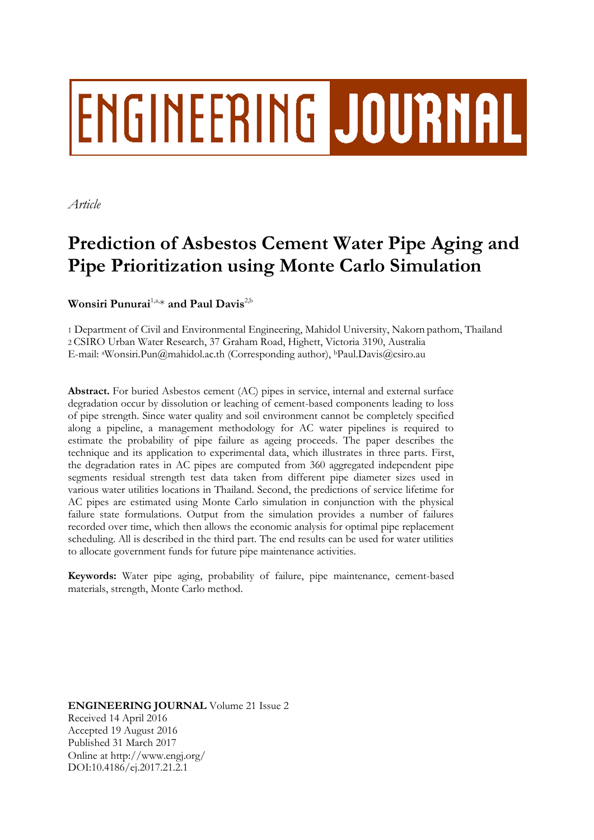# **ENGINEERING JOURNAL**

*Article*

# **Prediction of Asbestos Cement Water Pipe Aging and Pipe Prioritization using Monte Carlo Simulation**

**Wonsiri Punurai**1,a, \* **and Paul Davis**2,b

1 Department of Civil and Environmental Engineering, Mahidol University, Nakorn pathom, Thailand 2 CSIRO Urban Water Research, 37 Graham Road, Highett, Victoria 3190, Australia E-mail: aWonsiri.Pun@mahidol.ac.th (Corresponding author), <sup>b</sup>Paul.Davis@csiro.au

**Abstract.** For buried Asbestos cement (AC) pipes in service, internal and external surface degradation occur by dissolution or leaching of cement-based components leading to loss of pipe strength. Since water quality and soil environment cannot be completely specified along a pipeline, a management methodology for AC water pipelines is required to estimate the probability of pipe failure as ageing proceeds. The paper describes the technique and its application to experimental data, which illustrates in three parts. First, the degradation rates in AC pipes are computed from 360 aggregated independent pipe segments residual strength test data taken from different pipe diameter sizes used in various water utilities locations in Thailand. Second, the predictions of service lifetime for AC pipes are estimated using Monte Carlo simulation in conjunction with the physical failure state formulations. Output from the simulation provides a number of failures recorded over time, which then allows the economic analysis for optimal pipe replacement scheduling. All is described in the third part. The end results can be used for water utilities to allocate government funds for future pipe maintenance activities.

**Keywords:** Water pipe aging, probability of failure, pipe maintenance, cement-based materials, strength, Monte Carlo method.

**ENGINEERING JOURNAL** Volume 21 Issue 2 Received 14 April 2016 Accepted 19 August 2016 Published 31 March 2017 Online at http://www.engj.org/ DOI:10.4186/ej.2017.21.2.1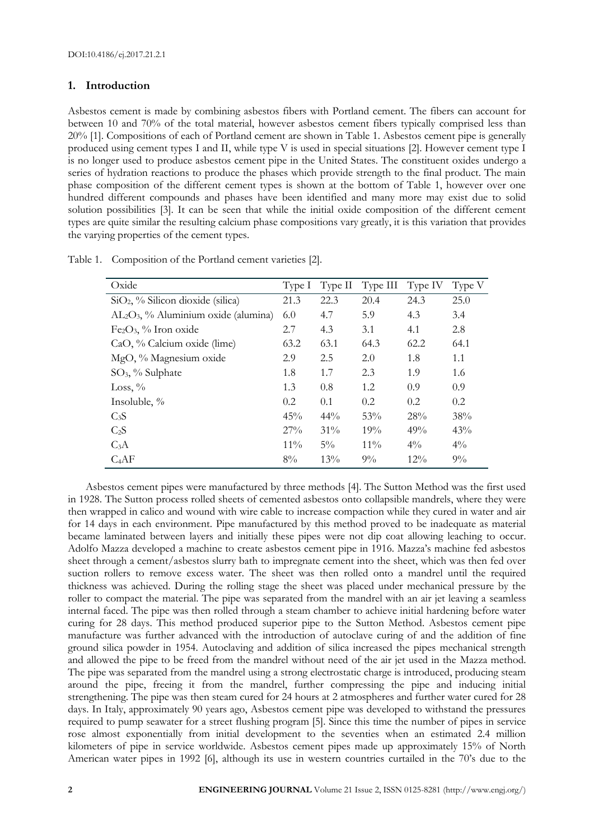# **1. Introduction**

Asbestos cement is made by combining asbestos fibers with Portland cement. The fibers can account for between 10 and 70% of the total material, however asbestos cement fibers typically comprised less than 20% [1]. Compositions of each of Portland cement are shown in Table 1. Asbestos cement pipe is generally produced using cement types I and II, while type V is used in special situations [2]. However cement type I is no longer used to produce asbestos cement pipe in the United States. The constituent oxides undergo a series of hydration reactions to produce the phases which provide strength to the final product. The main phase composition of the different cement types is shown at the bottom of Table 1, however over one hundred different compounds and phases have been identified and many more may exist due to solid solution possibilities [3]. It can be seen that while the initial oxide composition of the different cement types are quite similar the resulting calcium phase compositions vary greatly, it is this variation that provides the varying properties of the cement types.

| Oxide                                   | Type I | Type II | Type III | Type IV | Type V |
|-----------------------------------------|--------|---------|----------|---------|--------|
| $SiO2$ , % Silicon dioxide (silica)     | 21.3   | 22.3    | 20.4     | 24.3    | 25.0   |
| $AL_2O_3$ , % Aluminium oxide (alumina) | 6.0    | 4.7     | 5.9      | 4.3     | 3.4    |
| $Fe2O3$ , % Iron oxide                  | 2.7    | 4.3     | 3.1      | 4.1     | 2.8    |
| CaO, % Calcium oxide (lime)             | 63.2   | 63.1    | 64.3     | 62.2    | 64.1   |
| MgO, % Magnesium oxide                  | 2.9    | 2.5     | 2.0      | 1.8     | 1.1    |
| $SO_3$ , % Sulphate                     | 1.8    | 1.7     | 2.3      | 1.9     | 1.6    |
| Loss, $\%$                              | 1.3    | 0.8     | 1.2      | 0.9     | 0.9    |
| Insoluble, %                            | 0.2    | 0.1     | 0.2      | 0.2     | 0.2    |
| C <sub>3</sub> S                        | 45%    | $44\%$  | 53%      | 28%     | 38%    |
| $C_2S$                                  | 27%    | $31\%$  | 19%      | 49%     | 43%    |
| $C_3A$                                  | $11\%$ | $5\%$   | $11\%$   | $4\%$   | $4\%$  |
| $C_4AF$                                 | 8%     | 13%     | $9\%$    | $12\%$  | $9\%$  |

Table 1. Composition of the Portland cement varieties [2].

Asbestos cement pipes were manufactured by three methods [4]. The Sutton Method was the first used in 1928. The Sutton process rolled sheets of cemented asbestos onto collapsible mandrels, where they were then wrapped in calico and wound with wire cable to increase compaction while they cured in water and air for 14 days in each environment. Pipe manufactured by this method proved to be inadequate as material became laminated between layers and initially these pipes were not dip coat allowing leaching to occur. Adolfo Mazza developed a machine to create asbestos cement pipe in 1916. Mazza's machine fed asbestos sheet through a cement/asbestos slurry bath to impregnate cement into the sheet, which was then fed over suction rollers to remove excess water. The sheet was then rolled onto a mandrel until the required thickness was achieved. During the rolling stage the sheet was placed under mechanical pressure by the roller to compact the material. The pipe was separated from the mandrel with an air jet leaving a seamless internal faced. The pipe was then rolled through a steam chamber to achieve initial hardening before water curing for 28 days. This method produced superior pipe to the Sutton Method. Asbestos cement pipe manufacture was further advanced with the introduction of autoclave curing of and the addition of fine ground silica powder in 1954. Autoclaving and addition of silica increased the pipes mechanical strength and allowed the pipe to be freed from the mandrel without need of the air jet used in the Mazza method. The pipe was separated from the mandrel using a strong electrostatic charge is introduced, producing steam around the pipe, freeing it from the mandrel, further compressing the pipe and inducing initial strengthening. The pipe was then steam cured for 24 hours at 2 atmospheres and further water cured for 28 days. In Italy, approximately 90 years ago, Asbestos cement pipe was developed to withstand the pressures required to pump seawater for a street flushing program [5]. Since this time the number of pipes in service rose almost exponentially from initial development to the seventies when an estimated 2.4 million kilometers of pipe in service worldwide. Asbestos cement pipes made up approximately 15% of North American water pipes in 1992 [6], although its use in western countries curtailed in the 70's due to the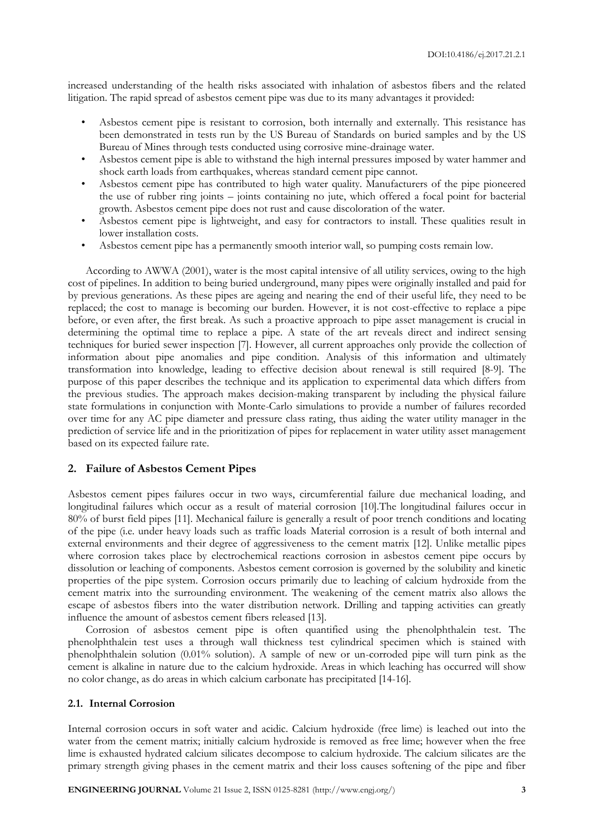increased understanding of the health risks associated with inhalation of asbestos fibers and the related litigation. The rapid spread of asbestos cement pipe was due to its many advantages it provided:

- Asbestos cement pipe is resistant to corrosion, both internally and externally. This resistance has been demonstrated in tests run by the US Bureau of Standards on buried samples and by the US Bureau of Mines through tests conducted using corrosive mine-drainage water.
- Asbestos cement pipe is able to withstand the high internal pressures imposed by water hammer and shock earth loads from earthquakes, whereas standard cement pipe cannot.
- Asbestos cement pipe has contributed to high water quality. Manufacturers of the pipe pioneered the use of rubber ring joints – joints containing no jute, which offered a focal point for bacterial growth. Asbestos cement pipe does not rust and cause discoloration of the water.
- Asbestos cement pipe is lightweight, and easy for contractors to install. These qualities result in lower installation costs.
- Asbestos cement pipe has a permanently smooth interior wall, so pumping costs remain low.

According to AWWA (2001), water is the most capital intensive of all utility services, owing to the high cost of pipelines. In addition to being buried underground, many pipes were originally installed and paid for by previous generations. As these pipes are ageing and nearing the end of their useful life, they need to be replaced; the cost to manage is becoming our burden. However, it is not cost-effective to replace a pipe before, or even after, the first break. As such a proactive approach to pipe asset management is crucial in determining the optimal time to replace a pipe. A state of the art reveals direct and indirect sensing techniques for buried sewer inspection [7]. However, all current approaches only provide the collection of information about pipe anomalies and pipe condition. Analysis of this information and ultimately transformation into knowledge, leading to effective decision about renewal is still required [8-9]. The purpose of this paper describes the technique and its application to experimental data which differs from the previous studies. The approach makes decision-making transparent by including the physical failure state formulations in conjunction with Monte-Carlo simulations to provide a number of failures recorded over time for any AC pipe diameter and pressure class rating, thus aiding the water utility manager in the prediction of service life and in the prioritization of pipes for replacement in water utility asset management based on its expected failure rate.

#### **2. Failure of Asbestos Cement Pipes**

Asbestos cement pipes failures occur in two ways, circumferential failure due mechanical loading, and longitudinal failures which occur as a result of material corrosion [10].The longitudinal failures occur in 80% of burst field pipes [11]. Mechanical failure is generally a result of poor trench conditions and locating of the pipe (i.e. under heavy loads such as traffic loads Material corrosion is a result of both internal and external environments and their degree of aggressiveness to the cement matrix [12]. Unlike metallic pipes where corrosion takes place by electrochemical reactions corrosion in asbestos cement pipe occurs by dissolution or leaching of components. Asbestos cement corrosion is governed by the solubility and kinetic properties of the pipe system. Corrosion occurs primarily due to leaching of calcium hydroxide from the cement matrix into the surrounding environment. The weakening of the cement matrix also allows the escape of asbestos fibers into the water distribution network. Drilling and tapping activities can greatly influence the amount of asbestos cement fibers released [13].

Corrosion of asbestos cement pipe is often quantified using the phenolphthalein test. The phenolphthalein test uses a through wall thickness test cylindrical specimen which is stained with phenolphthalein solution (0.01% solution). A sample of new or un-corroded pipe will turn pink as the cement is alkaline in nature due to the calcium hydroxide. Areas in which leaching has occurred will show no color change, as do areas in which calcium carbonate has precipitated [14-16].

## **2.1. Internal Corrosion**

Internal corrosion occurs in soft water and acidic. Calcium hydroxide (free lime) is leached out into the water from the cement matrix; initially calcium hydroxide is removed as free lime; however when the free lime is exhausted hydrated calcium silicates decompose to calcium hydroxide. The calcium silicates are the primary strength giving phases in the cement matrix and their loss causes softening of the pipe and fiber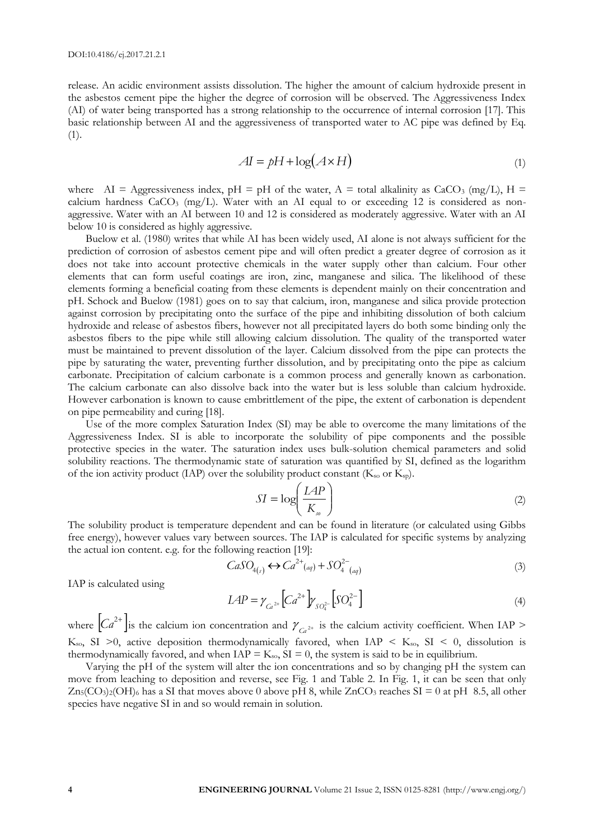release. An acidic environment assists dissolution. The higher the amount of calcium hydroxide present in the asbestos cement pipe the higher the degree of corrosion will be observed. The Aggressiveness Index (AI) of water being transported has a strong relationship to the occurrence of internal corrosion [17]. This basic relationship between AI and the aggressiveness of transported water to AC pipe was defined by Eq. (1).

$$
AI = pH + \log(A \times H) \tag{1}
$$

where AI = Aggressiveness index,  $pH = pH$  of the water, A = total alkalinity as CaCO<sub>3</sub> (mg/L), H = calcium hardness  $CaCO<sub>3</sub>$  (mg/L). Water with an AI equal to or exceeding 12 is considered as nonaggressive. Water with an AI between 10 and 12 is considered as moderately aggressive. Water with an AI below 10 is considered as highly aggressive.

Buelow et al. (1980) writes that while AI has been widely used, AI alone is not always sufficient for the prediction of corrosion of asbestos cement pipe and will often predict a greater degree of corrosion as it does not take into account protective chemicals in the water supply other than calcium. Four other elements that can form useful coatings are iron, zinc, manganese and silica. The likelihood of these elements forming a beneficial coating from these elements is dependent mainly on their concentration and pH. Schock and Buelow (1981) goes on to say that calcium, iron, manganese and silica provide protection against corrosion by precipitating onto the surface of the pipe and inhibiting dissolution of both calcium hydroxide and release of asbestos fibers, however not all precipitated layers do both some binding only the asbestos fibers to the pipe while still allowing calcium dissolution. The quality of the transported water must be maintained to prevent dissolution of the layer. Calcium dissolved from the pipe can protects the pipe by saturating the water, preventing further dissolution, and by precipitating onto the pipe as calcium carbonate. Precipitation of calcium carbonate is a common process and generally known as carbonation. The calcium carbonate can also dissolve back into the water but is less soluble than calcium hydroxide. However carbonation is known to cause embrittlement of the pipe, the extent of carbonation is dependent on pipe permeability and curing [18].

Use of the more complex Saturation Index (SI) may be able to overcome the many limitations of the Aggressiveness Index. SI is able to incorporate the solubility of pipe components and the possible protective species in the water. The saturation index uses bulk-solution chemical parameters and solid solubility reactions. The thermodynamic state of saturation was quantified by SI, defined as the logarithm of the ion activity product (IAP) over the solubility product constant ( $K_{so}$  or  $K_{sp}$ ).

$$
SI = \log\left(\frac{LAP}{K_{so}}\right) \tag{2}
$$

The solubility product is temperature dependent and can be found in literature (or calculated using Gibbs free energy), however values vary between sources. The IAP is calculated for specific systems by analyzing the actual ion content. e.g. for the following reaction [19]:

$$
CaSO_{4(s)} \leftrightarrow Ca^{2+}(aq) + SO_4^{2-}(aq)
$$
\n(3)

IAP is calculated using

$$
LAP = \gamma_{Ca^{2+}} \left[ Ca^{2+} \right] \gamma_{SO_4^{2-}} \left[ SO_4^{2-} \right] \tag{4}
$$

where  $\left|Ca^{2+}\right|$  is the calcium ion concentration and  $\gamma_{Ca^{2+}}$  is the calcium activity coefficient. When IAP > K<sub>so</sub>, SI >0, active deposition thermodynamically favored, when IAP < K<sub>so</sub>, SI < 0, dissolution is thermodynamically favored, and when  $IAP = K<sub>so</sub>$ ,  $SI = 0$ , the system is said to be in equilibrium.

Varying the pH of the system will alter the ion concentrations and so by changing pH the system can move from leaching to deposition and reverse, see Fig. 1 and Table 2. In Fig. 1, it can be seen that only  $Zn_5(CO_3)_2(OH)_6$  has a SI that moves above 0 above pH 8, while  $ZnCO_3$  reaches SI = 0 at pH 8.5, all other species have negative SI in and so would remain in solution.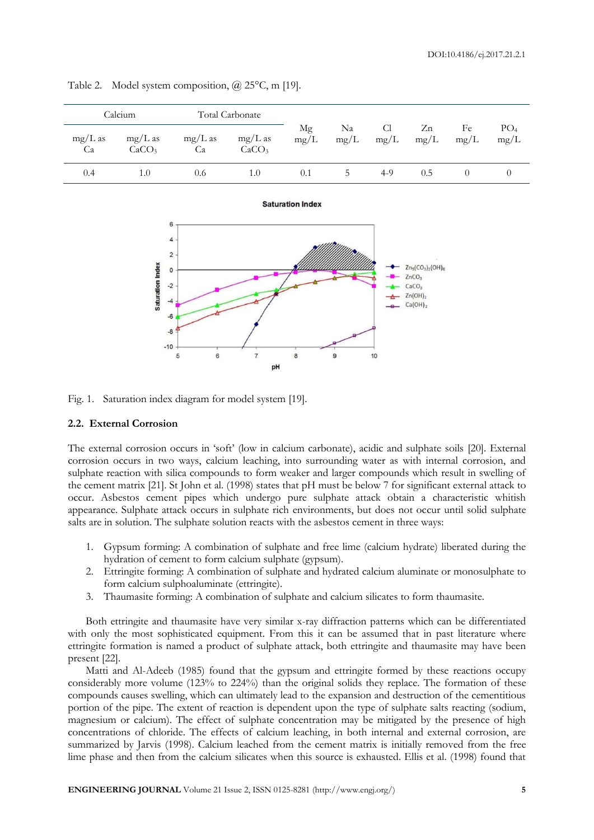|                 | Calcium                        | Total Carbonate |                                |            |            |                        |            |            |                         |
|-----------------|--------------------------------|-----------------|--------------------------------|------------|------------|------------------------|------------|------------|-------------------------|
| $mg/L$ as<br>Ca | $mg/L$ as<br>CaCO <sub>3</sub> | $mg/L$ as<br>Ca | $mg/L$ as<br>CaCO <sub>3</sub> | Mg<br>mg/L | Na<br>mg/L | C <sub>1</sub><br>mg/L | Zn<br>mg/L | Fe<br>mg/L | PO <sub>4</sub><br>mg/L |
| 0.4             | 1.0                            | 0.6             | 1.0                            | 0.1        | C.         | $4-9$                  | 0.5        |            |                         |

**Saturation Index** 

Table 2. Model system composition, @ 25°C, m [19].



Fig. 1. Saturation index diagram for model system [19].

#### **2.2. External Corrosion**

The external corrosion occurs in 'soft' (low in calcium carbonate), acidic and sulphate soils [20]. External corrosion occurs in two ways, calcium leaching, into surrounding water as with internal corrosion, and sulphate reaction with silica compounds to form weaker and larger compounds which result in swelling of the cement matrix [21]. St John et al. (1998) states that pH must be below 7 for significant external attack to occur. Asbestos cement pipes which undergo pure sulphate attack obtain a characteristic whitish appearance. Sulphate attack occurs in sulphate rich environments, but does not occur until solid sulphate salts are in solution. The sulphate solution reacts with the asbestos cement in three ways:

- 1. Gypsum forming: A combination of sulphate and free lime (calcium hydrate) liberated during the hydration of cement to form calcium sulphate (gypsum).
- 2. Ettringite forming: A combination of sulphate and hydrated calcium aluminate or monosulphate to form calcium sulphoaluminate (ettringite).
- 3. Thaumasite forming: A combination of sulphate and calcium silicates to form thaumasite.

Both ettringite and thaumasite have very similar x-ray diffraction patterns which can be differentiated with only the most sophisticated equipment. From this it can be assumed that in past literature where ettringite formation is named a product of sulphate attack, both ettringite and thaumasite may have been present [22].

Matti and Al-Adeeb (1985) found that the gypsum and ettringite formed by these reactions occupy considerably more volume (123% to 224%) than the original solids they replace. The formation of these compounds causes swelling, which can ultimately lead to the expansion and destruction of the cementitious portion of the pipe. The extent of reaction is dependent upon the type of sulphate salts reacting (sodium, magnesium or calcium). The effect of sulphate concentration may be mitigated by the presence of high concentrations of chloride. The effects of calcium leaching, in both internal and external corrosion, are summarized by Jarvis (1998). Calcium leached from the cement matrix is initially removed from the free lime phase and then from the calcium silicates when this source is exhausted. Ellis et al. (1998) found that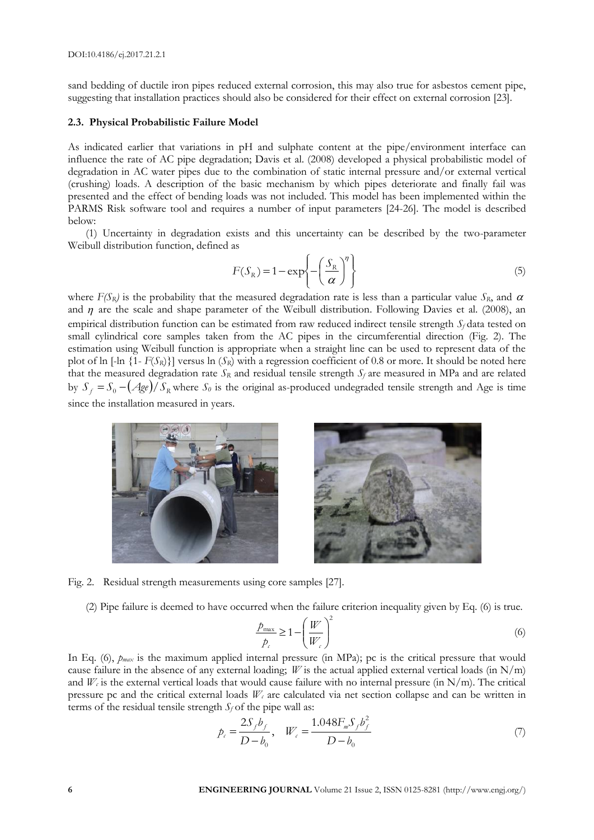sand bedding of ductile iron pipes reduced external corrosion, this may also true for asbestos cement pipe, suggesting that installation practices should also be considered for their effect on external corrosion [23].

#### **2.3. Physical Probabilistic Failure Model**

As indicated earlier that variations in pH and sulphate content at the pipe/environment interface can influence the rate of AC pipe degradation; Davis et al. (2008) developed a physical probabilistic model of degradation in AC water pipes due to the combination of static internal pressure and/or external vertical (crushing) loads. A description of the basic mechanism by which pipes deteriorate and finally fail was presented and the effect of bending loads was not included. This model has been implemented within the PARMS Risk software tool and requires a number of input parameters [24-26]. The model is described below:

(1) Uncertainty in degradation exists and this uncertainty can be described by the two-parameter Weibull distribution function, defined as

$$
F(S_R) = 1 - \exp\left\{-\left(\frac{S_R}{\alpha}\right)^{\eta}\right\}
$$
\n(5)

where  $F(S_R)$  is the probability that the measured degradation rate is less than a particular value  $S_R$ , and  $\alpha$ and  $\eta$  are the scale and shape parameter of the Weibull distribution. Following Davies et al. (2008), an empirical distribution function can be estimated from raw reduced indirect tensile strength *S<sup>f</sup>* data tested on small cylindrical core samples taken from the AC pipes in the circumferential direction (Fig. 2). The estimation using Weibull function is appropriate when a straight line can be used to represent data of the plot of ln  $[-\ln \{1 - F(S_R)\}]$  versus ln  $(S_R)$  with a regression coefficient of 0.8 or more. It should be noted here that the measured degradation rate  $S_R$  and residual tensile strength  $S_f$  are measured in MPa and are related by  $S_f = S_0 - (Age)/S_R$  where  $S_0$  is the original as-produced undegraded tensile strength and Age is time since the installation measured in years.



Fig. 2. Residual strength measurements using core samples [27].

(2) Pipe failure is deemed to have occurred when the failure criterion inequality given by Eq. (6) is true.

$$
\frac{\hat{P}_{\text{max}}}{\hat{P}_c} \ge 1 - \left(\frac{W}{W_c}\right)^2\tag{6}
$$

In Eq. (6), *pmax* is the maximum applied internal pressure (in MPa); pc is the critical pressure that would cause failure in the absence of any external loading; *W* is the actual applied external vertical loads (in N/m) and  $W_c$  is the external vertical loads that would cause failure with no internal pressure (in N/m). The critical pressure pc and the critical external loads  $W_c$  are calculated via net section collapse and can be written in terms of the residual tensile strength  $S_f$  of the pipe wall as:

$$
p_c = \frac{2S_f b_f}{D - b_0}, \quad W_c = \frac{1.048 F_m S_f b_f^2}{D - b_0}
$$
 (7)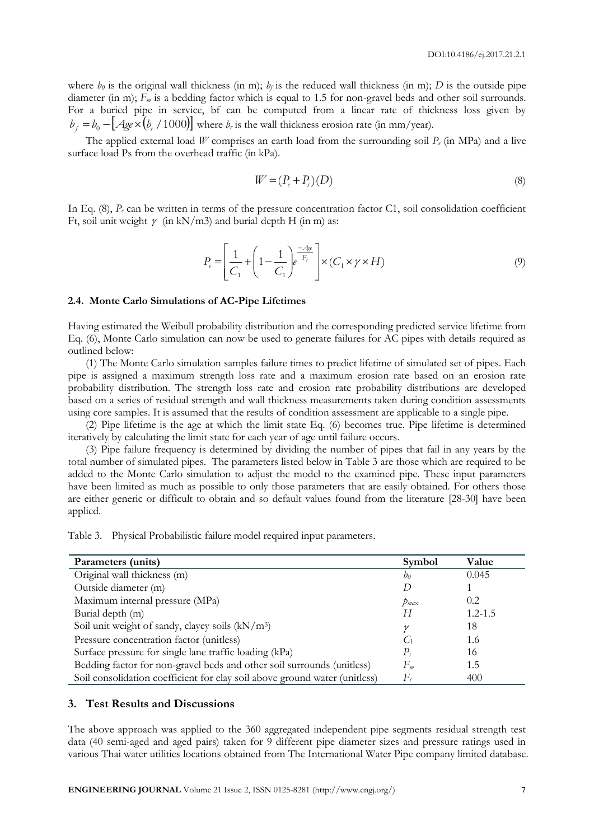where  $b_0$  is the original wall thickness (in m);  $b_f$  is the reduced wall thickness (in m); *D* is the outside pipe diameter (in m);  $F_m$  is a bedding factor which is equal to 1.5 for non-gravel beds and other soil surrounds. For a buried pipe in service, bf can be computed from a linear rate of thickness loss given by  $b_f = b_0 - [Age \times (b_r / 1000)]$  where *b<sub>r</sub>* is the wall thickness erosion rate (in mm/year).

The applied external load *W* comprises an earth load from the surrounding soil *P<sup>e</sup>* (in MPa) and a live surface load Ps from the overhead traffic (in kPa).

$$
W = (P_e + P_s)(D) \tag{8}
$$

In Eq.  $(8)$ ,  $P_e$  can be written in terms of the pressure concentration factor C1, soil consolidation coefficient Ft, soil unit weight  $\gamma$  (in kN/m3) and burial depth H (in m) as:

$$
P_e = \left[\frac{1}{C_1} + \left(1 - \frac{1}{C_1}\right)e^{-\frac{A_{ge}}{F_t}}\right] \times (C_1 \times \gamma \times H) \tag{9}
$$

#### **2.4. Monte Carlo Simulations of AC-Pipe Lifetimes**

Having estimated the Weibull probability distribution and the corresponding predicted service lifetime from Eq. (6), Monte Carlo simulation can now be used to generate failures for AC pipes with details required as outlined below:

(1) The Monte Carlo simulation samples failure times to predict lifetime of simulated set of pipes. Each pipe is assigned a maximum strength loss rate and a maximum erosion rate based on an erosion rate probability distribution. The strength loss rate and erosion rate probability distributions are developed based on a series of residual strength and wall thickness measurements taken during condition assessments using core samples. It is assumed that the results of condition assessment are applicable to a single pipe.

(2) Pipe lifetime is the age at which the limit state Eq. (6) becomes true. Pipe lifetime is determined iteratively by calculating the limit state for each year of age until failure occurs.

(3) Pipe failure frequency is determined by dividing the number of pipes that fail in any years by the total number of simulated pipes. The parameters listed below in Table 3 are those which are required to be added to the Monte Carlo simulation to adjust the model to the examined pipe. These input parameters have been limited as much as possible to only those parameters that are easily obtained. For others those are either generic or difficult to obtain and so default values found from the literature [28-30] have been applied.

Table 3. Physical Probabilistic failure model required input parameters.

| Parameters (units)                                                         | Symbol      | Value       |
|----------------------------------------------------------------------------|-------------|-------------|
| Original wall thickness (m)                                                | bo          | 0.045       |
| Outside diameter (m)                                                       |             |             |
| Maximum internal pressure (MPa)                                            | $p_{max}$   | 0.2         |
| Burial depth (m)                                                           | Н           | $1.2 - 1.5$ |
| Soil unit weight of sandy, clayey soils $(kN/m3)$                          | $\gamma$    | 18          |
| Pressure concentration factor (unitless)                                   | $C_1$       | 1.6         |
| Surface pressure for single lane traffic loading (kPa)                     | $P_{\rm c}$ | 16          |
| Bedding factor for non-gravel beds and other soil surrounds (unitless)     | $F_m$       | 1.5         |
| Soil consolidation coefficient for clay soil above ground water (unitless) | F,          | 400         |

## **3. Test Results and Discussions**

The above approach was applied to the 360 aggregated independent pipe segments residual strength test data (40 semi-aged and aged pairs) taken for 9 different pipe diameter sizes and pressure ratings used in various Thai water utilities locations obtained from The International Water Pipe company limited database.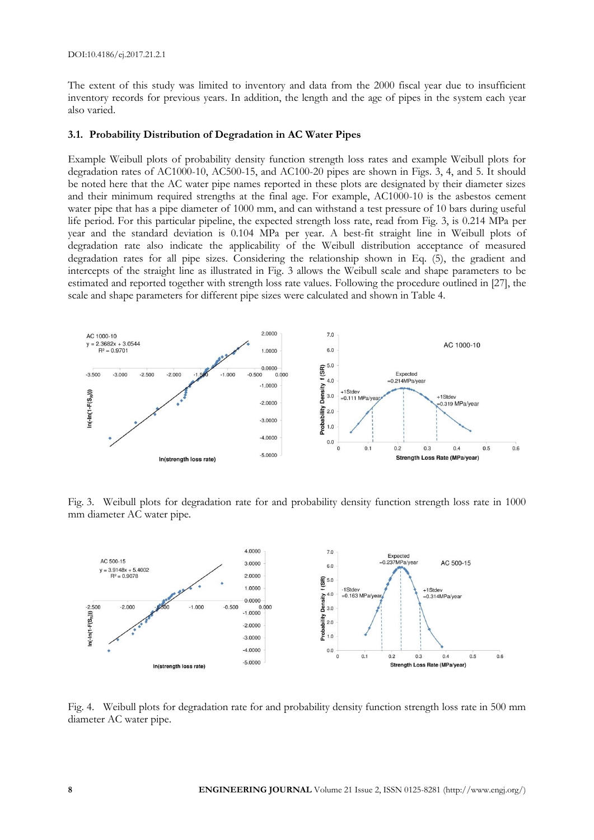The extent of this study was limited to inventory and data from the 2000 fiscal year due to insufficient inventory records for previous years. In addition, the length and the age of pipes in the system each year also varied.

#### **3.1. Probability Distribution of Degradation in AC Water Pipes**

Example Weibull plots of probability density function strength loss rates and example Weibull plots for degradation rates of AC1000-10, AC500-15, and AC100-20 pipes are shown in Figs. 3, 4, and 5. It should be noted here that the AC water pipe names reported in these plots are designated by their diameter sizes and their minimum required strengths at the final age. For example, AC1000-10 is the asbestos cement water pipe that has a pipe diameter of 1000 mm, and can withstand a test pressure of 10 bars during useful life period. For this particular pipeline, the expected strength loss rate, read from Fig. 3, is 0.214 MPa per year and the standard deviation is 0.104 MPa per year. A best-fit straight line in Weibull plots of degradation rate also indicate the applicability of the Weibull distribution acceptance of measured degradation rates for all pipe sizes. Considering the relationship shown in Eq. (5), the gradient and intercepts of the straight line as illustrated in Fig. 3 allows the Weibull scale and shape parameters to be estimated and reported together with strength loss rate values. Following the procedure outlined in [27], the scale and shape parameters for different pipe sizes were calculated and shown in Table 4.



Fig. 3. Weibull plots for degradation rate for and probability density function strength loss rate in 1000 mm diameter AC water pipe.



Fig. 4. Weibull plots for degradation rate for and probability density function strength loss rate in 500 mm diameter AC water pipe.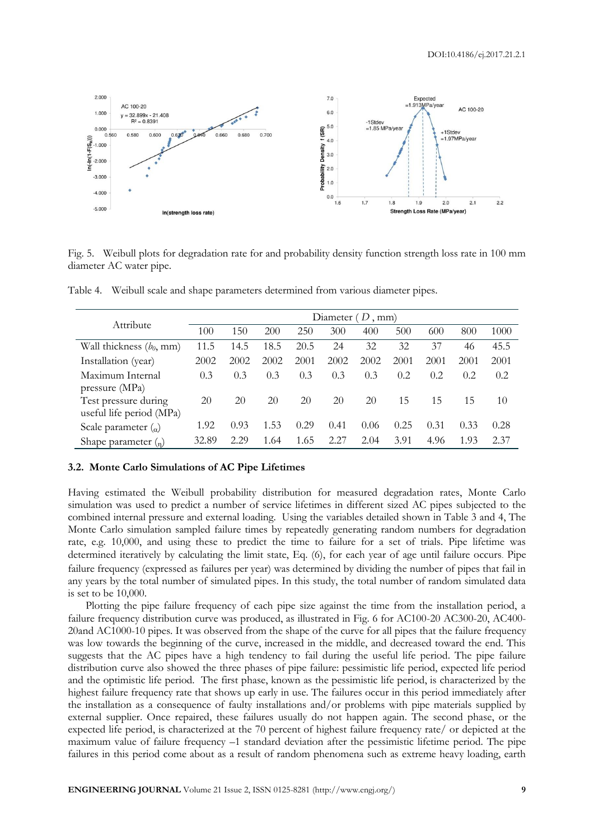

Fig. 5. Weibull plots for degradation rate for and probability density function strength loss rate in 100 mm diameter AC water pipe.

|                                         | Diameter $(D, \text{mm})$ |      |      |      |      |      |      |      |      |      |
|-----------------------------------------|---------------------------|------|------|------|------|------|------|------|------|------|
| Attribute                               | 100                       | 150  | 200  | 250  | 300  | 400  | 500  | 600  | 800  | 1000 |
| Wall thickness $(b_0, \text{mm})$       | 11.5                      | 14.5 | 18.5 | 20.5 | 24   | 32   | 32   | 37   | 46   | 45.5 |
| Installation (year)                     | 2002                      | 2002 | 2002 | 2001 | 2002 | 2002 | 2001 | 2001 | 2001 | 2001 |
| Maximum Internal                        | 0.3                       | 0.3  | 0.3  | 0.3  | 0.3  | 0.3  | 0.2  | 0.2  | 0.2  | 0.2  |
| pressure (MPa)                          |                           |      |      |      |      |      |      |      |      |      |
| Test pressure during                    | 20                        | 20   | 20   | 20   | 20   | 20   | 15   | 15   | 15   | 10   |
| useful life period (MPa)                |                           |      |      |      |      |      |      |      |      |      |
| Scale parameter $\left( \alpha \right)$ | 1.92                      | 0.93 | 1.53 | 0.29 | 0.41 | 0.06 | 0.25 | 0.31 | 0.33 | 0.28 |
| Shape parameter $\binom{n}{n}$          | 32.89                     | 2.29 | 1.64 | 1.65 | 2.27 | 2.04 | 3.91 | 4.96 | 1.93 | 2.37 |

Table 4. Weibull scale and shape parameters determined from various diameter pipes.

#### **3.2. Monte Carlo Simulations of AC Pipe Lifetimes**

Having estimated the Weibull probability distribution for measured degradation rates, Monte Carlo simulation was used to predict a number of service lifetimes in different sized AC pipes subjected to the combined internal pressure and external loading. Using the variables detailed shown in Table 3 and 4, The Monte Carlo simulation sampled failure times by repeatedly generating random numbers for degradation rate, e.g. 10,000, and using these to predict the time to failure for a set of trials. Pipe lifetime was determined iteratively by calculating the limit state, Eq. (6), for each year of age until failure occurs. Pipe failure frequency (expressed as failures per year) was determined by dividing the number of pipes that fail in any years by the total number of simulated pipes. In this study, the total number of random simulated data is set to be 10,000.

Plotting the pipe failure frequency of each pipe size against the time from the installation period, a failure frequency distribution curve was produced, as illustrated in Fig. 6 for AC100-20 AC300-20, AC400- 20and AC1000-10 pipes. It was observed from the shape of the curve for all pipes that the failure frequency was low towards the beginning of the curve, increased in the middle, and decreased toward the end. This suggests that the AC pipes have a high tendency to fail during the useful life period. The pipe failure distribution curve also showed the three phases of pipe failure: pessimistic life period, expected life period and the optimistic life period. The first phase, known as the pessimistic life period, is characterized by the highest failure frequency rate that shows up early in use. The failures occur in this period immediately after the installation as a consequence of faulty installations and/or problems with pipe materials supplied by external supplier. Once repaired, these failures usually do not happen again. The second phase, or the expected life period, is characterized at the 70 percent of highest failure frequency rate/ or depicted at the maximum value of failure frequency –1 standard deviation after the pessimistic lifetime period. The pipe failures in this period come about as a result of random phenomena such as extreme heavy loading, earth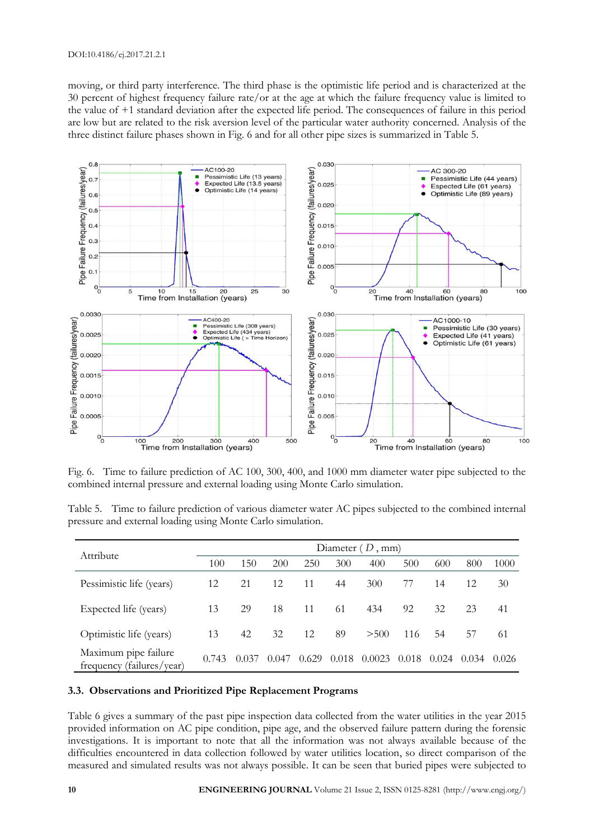moving, or third party interference. The third phase is the optimistic life period and is characterized at the 30 percent of highest frequency failure rate/or at the age at which the failure frequency value is limited to the value of +1 standard deviation after the expected life period. The consequences of failure in this period are low but are related to the risk aversion level of the particular water authority concerned. Analysis of the three distinct failure phases shown in Fig. 6 and for all other pipe sizes is summarized in Table 5.



Fig. 6. Time to failure prediction of AC 100, 300, 400, and 1000 mm diameter water pipe subjected to the combined internal pressure and external loading using Monte Carlo simulation.

| Table 5. Time to failure prediction of various diameter water AC pipes subjected to the combined internal |  |  |  |  |
|-----------------------------------------------------------------------------------------------------------|--|--|--|--|
| pressure and external loading using Monte Carlo simulation.                                               |  |  |  |  |

| Attribute                                         | Diameter $(D, \text{mm})$ |       |       |       |       |        |       |       |       |       |
|---------------------------------------------------|---------------------------|-------|-------|-------|-------|--------|-------|-------|-------|-------|
|                                                   | 100                       | 150   | 200   | 250   | 300   | 400    | 500   | 600   | 800   | 1000  |
| Pessimistic life (years)                          | 12                        | 21    | 12    | 11    | 44    | 300    | 77    | 14    | 12    | 30    |
| Expected life (years)                             | 13                        | 29    | 18    | 11    | 61    | 434    | 92    | 32    | 23    | 41    |
| Optimistic life (years)                           | 13                        | 42    | 32    | 12    | 89    | > 500  | 116   | 54    | 57    | 61    |
| Maximum pipe failure<br>frequency (failures/year) | 0.743                     | 0.037 | 0.047 | 0.629 | 0.018 | 0.0023 | 0.018 | 0.024 | 0.034 | 0.026 |

#### **3.3. Observations and Prioritized Pipe Replacement Programs**

Table 6 gives a summary of the past pipe inspection data collected from the water utilities in the year 2015 provided information on AC pipe condition, pipe age, and the observed failure pattern during the forensic investigations. It is important to note that all the information was not always available because of the difficulties encountered in data collection followed by water utilities location, so direct comparison of the measured and simulated results was not always possible. It can be seen that buried pipes were subjected to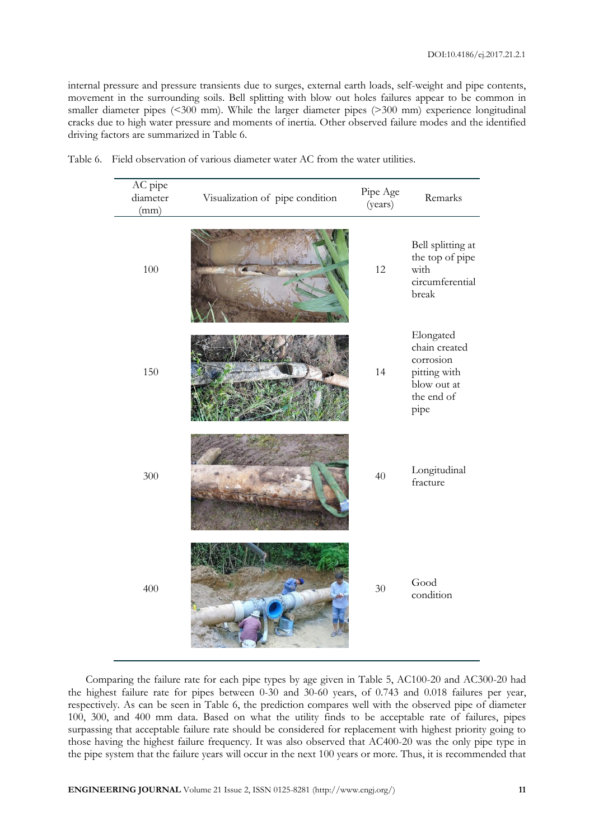internal pressure and pressure transients due to surges, external earth loads, self-weight and pipe contents, movement in the surrounding soils. Bell splitting with blow out holes failures appear to be common in smaller diameter pipes (<300 mm). While the larger diameter pipes (>300 mm) experience longitudinal cracks due to high water pressure and moments of inertia. Other observed failure modes and the identified driving factors are summarized in Table 6.

| AC pipe<br>diameter<br>(mm) | Visualization of pipe condition | Pipe Age<br>(years) | Remarks                                                                                      |
|-----------------------------|---------------------------------|---------------------|----------------------------------------------------------------------------------------------|
| 100                         |                                 | 12                  | Bell splitting at<br>the top of pipe<br>with<br>circumferential<br>break                     |
| 150                         |                                 | 14                  | Elongated<br>chain created<br>corrosion<br>pitting with<br>blow out at<br>the end of<br>pipe |
| 300                         |                                 | 40                  | Longitudinal<br>fracture                                                                     |
| 400                         |                                 | 30                  | Good<br>condition                                                                            |

Table 6. Field observation of various diameter water AC from the water utilities.

Comparing the failure rate for each pipe types by age given in Table 5, AC100-20 and AC300-20 had the highest failure rate for pipes between 0-30 and 30-60 years, of 0.743 and 0.018 failures per year, respectively. As can be seen in Table 6, the prediction compares well with the observed pipe of diameter 100, 300, and 400 mm data. Based on what the utility finds to be acceptable rate of failures, pipes surpassing that acceptable failure rate should be considered for replacement with highest priority going to those having the highest failure frequency. It was also observed that AC400-20 was the only pipe type in the pipe system that the failure years will occur in the next 100 years or more. Thus, it is recommended that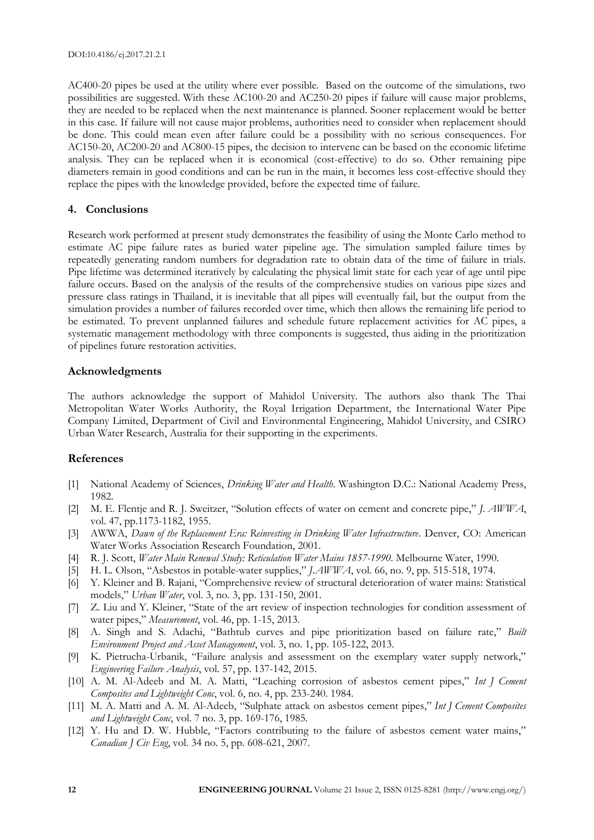AC400-20 pipes be used at the utility where ever possible. Based on the outcome of the simulations, two possibilities are suggested. With these AC100-20 and AC250-20 pipes if failure will cause major problems, they are needed to be replaced when the next maintenance is planned. Sooner replacement would be better in this case. If failure will not cause major problems, authorities need to consider when replacement should be done. This could mean even after failure could be a possibility with no serious consequences. For AC150-20, AC200-20 and AC800-15 pipes, the decision to intervene can be based on the economic lifetime analysis. They can be replaced when it is economical (cost-effective) to do so. Other remaining pipe diameters remain in good conditions and can be run in the main, it becomes less cost-effective should they replace the pipes with the knowledge provided, before the expected time of failure.

# **4. Conclusions**

Research work performed at present study demonstrates the feasibility of using the Monte Carlo method to estimate AC pipe failure rates as buried water pipeline age. The simulation sampled failure times by repeatedly generating random numbers for degradation rate to obtain data of the time of failure in trials. Pipe lifetime was determined iteratively by calculating the physical limit state for each year of age until pipe failure occurs. Based on the analysis of the results of the comprehensive studies on various pipe sizes and pressure class ratings in Thailand, it is inevitable that all pipes will eventually fail, but the output from the simulation provides a number of failures recorded over time, which then allows the remaining life period to be estimated. To prevent unplanned failures and schedule future replacement activities for AC pipes, a systematic management methodology with three components is suggested, thus aiding in the prioritization of pipelines future restoration activities.

# **Acknowledgments**

The authors acknowledge the support of Mahidol University. The authors also thank The Thai Metropolitan Water Works Authority, the Royal Irrigation Department, the International Water Pipe Company Limited, Department of Civil and Environmental Engineering, Mahidol University, and CSIRO Urban Water Research, Australia for their supporting in the experiments.

# **References**

- [1] National Academy of Sciences, *Drinking Water and Health*. Washington D.C.: National Academy Press, 1982.
- [2] M. E. Flentje and R. J. Sweitzer, "Solution effects of water on cement and concrete pipe," *J. AWWA*, vol. 47, pp.1173-1182, 1955.
- [3] AWWA, *Dawn of the Replacement Era: Reinvesting in Drinking Water Infrastructure*. Denver, CO: American Water Works Association Research Foundation, 2001.
- [4] R. J. Scott, *Water Main Renewal Study: Reticulation Water Mains 1857-1990*. Melbourne Water, 1990.
- [5] H. L. Olson, "Asbestos in potable-water supplies," *J.AWWA*, vol. 66, no. 9, pp. 515-518, 1974.
- [6] Y. Kleiner and B. Rajani, "Comprehensive review of structural deterioration of water mains: Statistical models," *Urban Water*, vol. 3, no. 3, pp. 131-150, 2001.
- [7] Z. Liu and Y. Kleiner, "State of the art review of inspection technologies for condition assessment of water pipes," *Measurement*, vol. 46, pp. 1-15, 2013.
- [8] A. Singh and S. Adachi, "Bathtub curves and pipe prioritization based on failure rate," *Built Environment Project and Asset Management*, vol. 3, no. 1, pp. 105-122, 2013.
- [9] K. Pietrucha-Urbanik, "Failure analysis and assessment on the exemplary water supply network," *Engineering Failure Analysis*, vol. 57, pp. 137-142, 2015.
- [10] A. M. Al-Adeeb and M. A. Matti, "Leaching corrosion of asbestos cement pipes," *Int J Cement Composites and Lightweight Conc*, vol. 6, no. 4, pp. 233-240. 1984.
- [11] M. A. Matti and A. M. Al-Adeeb, "Sulphate attack on asbestos cement pipes," *Int J Cement Composites and Lightweight Conc*, vol. 7 no. 3, pp. 169-176, 1985.
- [12] Y. Hu and D. W. Hubble, "Factors contributing to the failure of asbestos cement water mains," *Canadian J Civ Eng*, vol. 34 no. 5, pp. 608-621, 2007.